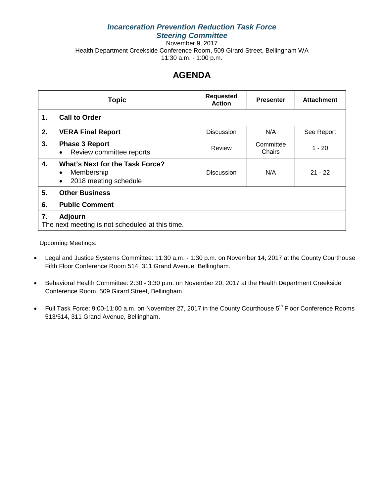## *Incarceration Prevention Reduction Task Force Steering Committee*

November 9, 2017 Health Department Creekside Conference Room, 509 Girard Street, Bellingham WA 11:30 a.m. - 1:00 p.m.

# **AGENDA**

|    | <b>Topic</b>                                                                                            | <b>Requested</b><br><b>Action</b> | <b>Presenter</b>    | <b>Attachment</b> |
|----|---------------------------------------------------------------------------------------------------------|-----------------------------------|---------------------|-------------------|
| 1. | <b>Call to Order</b>                                                                                    |                                   |                     |                   |
| 2. | <b>VERA Final Report</b>                                                                                | <b>Discussion</b>                 | N/A                 | See Report        |
| 3. | <b>Phase 3 Report</b><br>Review committee reports<br>$\bullet$                                          | Review                            | Committee<br>Chairs | $1 - 20$          |
| 4. | <b>What's Next for the Task Force?</b><br>Membership<br>$\bullet$<br>2018 meeting schedule<br>$\bullet$ | <b>Discussion</b>                 | N/A                 | $21 - 22$         |
| 5. | <b>Other Business</b>                                                                                   |                                   |                     |                   |
| 6. | <b>Public Comment</b>                                                                                   |                                   |                     |                   |
| 7. | Adjourn<br>The next meeting is not scheduled at this time.                                              |                                   |                     |                   |

Upcoming Meetings:

- Legal and Justice Systems Committee: 11:30 a.m. 1:30 p.m. on November 14, 2017 at the County Courthouse Fifth Floor Conference Room 514, 311 Grand Avenue, Bellingham.
- Behavioral Health Committee: 2:30 3:30 p.m. on November 20, 2017 at the Health Department Creekside Conference Room, 509 Girard Street, Bellingham.
- Full Task Force: 9:00-11:00 a.m. on November 27, 2017 in the County Courthouse 5<sup>th</sup> Floor Conference Rooms 513/514, 311 Grand Avenue, Bellingham.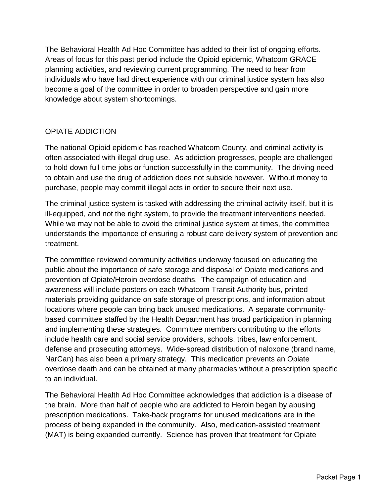The Behavioral Health Ad Hoc Committee has added to their list of ongoing efforts. Areas of focus for this past period include the Opioid epidemic, Whatcom GRACE planning activities, and reviewing current programming. The need to hear from individuals who have had direct experience with our criminal justice system has also become a goal of the committee in order to broaden perspective and gain more knowledge about system shortcomings.

## OPIATE ADDICTION

The national Opioid epidemic has reached Whatcom County, and criminal activity is often associated with illegal drug use. As addiction progresses, people are challenged to hold down full-time jobs or function successfully in the community. The driving need to obtain and use the drug of addiction does not subside however. Without money to purchase, people may commit illegal acts in order to secure their next use.

The criminal justice system is tasked with addressing the criminal activity itself, but it is ill-equipped, and not the right system, to provide the treatment interventions needed. While we may not be able to avoid the criminal justice system at times, the committee understands the importance of ensuring a robust care delivery system of prevention and treatment.

The committee reviewed community activities underway focused on educating the public about the importance of safe storage and disposal of Opiate medications and prevention of Opiate/Heroin overdose deaths. The campaign of education and awareness will include posters on each Whatcom Transit Authority bus, printed materials providing guidance on safe storage of prescriptions, and information about locations where people can bring back unused medications. A separate communitybased committee staffed by the Health Department has broad participation in planning and implementing these strategies. Committee members contributing to the efforts include health care and social service providers, schools, tribes, law enforcement, defense and prosecuting attorneys. Wide-spread distribution of naloxone (brand name, NarCan) has also been a primary strategy. This medication prevents an Opiate overdose death and can be obtained at many pharmacies without a prescription specific to an individual.

The Behavioral Health Ad Hoc Committee acknowledges that addiction is a disease of the brain. More than half of people who are addicted to Heroin began by abusing prescription medications. Take-back programs for unused medications are in the process of being expanded in the community. Also, medication-assisted treatment (MAT) is being expanded currently. Science has proven that treatment for Opiate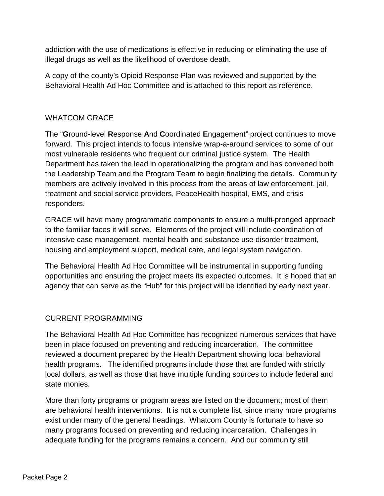addiction with the use of medications is effective in reducing or eliminating the use of illegal drugs as well as the likelihood of overdose death.

A copy of the county's Opioid Response Plan was reviewed and supported by the Behavioral Health Ad Hoc Committee and is attached to this report as reference.

## WHATCOM GRACE

The "**G**round-level **R**esponse **A**nd **C**oordinated **E**ngagement" project continues to move forward. This project intends to focus intensive wrap-a-around services to some of our most vulnerable residents who frequent our criminal justice system. The Health Department has taken the lead in operationalizing the program and has convened both the Leadership Team and the Program Team to begin finalizing the details. Community members are actively involved in this process from the areas of law enforcement, jail, treatment and social service providers, PeaceHealth hospital, EMS, and crisis responders.

GRACE will have many programmatic components to ensure a multi-pronged approach to the familiar faces it will serve. Elements of the project will include coordination of intensive case management, mental health and substance use disorder treatment, housing and employment support, medical care, and legal system navigation.

The Behavioral Health Ad Hoc Committee will be instrumental in supporting funding opportunities and ensuring the project meets its expected outcomes. It is hoped that an agency that can serve as the "Hub" for this project will be identified by early next year.

## CURRENT PROGRAMMING

The Behavioral Health Ad Hoc Committee has recognized numerous services that have been in place focused on preventing and reducing incarceration. The committee reviewed a document prepared by the Health Department showing local behavioral health programs. The identified programs include those that are funded with strictly local dollars, as well as those that have multiple funding sources to include federal and state monies.

More than forty programs or program areas are listed on the document; most of them are behavioral health interventions. It is not a complete list, since many more programs exist under many of the general headings. Whatcom County is fortunate to have so many programs focused on preventing and reducing incarceration. Challenges in adequate funding for the programs remains a concern. And our community still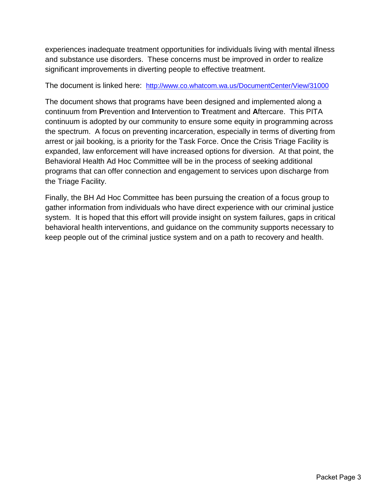experiences inadequate treatment opportunities for individuals living with mental illness and substance use disorders. These concerns must be improved in order to realize significant improvements in diverting people to effective treatment.

The document is linked here: <http://www.co.whatcom.wa.us/DocumentCenter/View/31000>

The document shows that programs have been designed and implemented along a continuum from **P**revention and **I**ntervention to **T**reatment and **A**ftercare. This PITA continuum is adopted by our community to ensure some equity in programming across the spectrum. A focus on preventing incarceration, especially in terms of diverting from arrest or jail booking, is a priority for the Task Force. Once the Crisis Triage Facility is expanded, law enforcement will have increased options for diversion. At that point, the Behavioral Health Ad Hoc Committee will be in the process of seeking additional programs that can offer connection and engagement to services upon discharge from the Triage Facility.

Finally, the BH Ad Hoc Committee has been pursuing the creation of a focus group to gather information from individuals who have direct experience with our criminal justice system. It is hoped that this effort will provide insight on system failures, gaps in critical behavioral health interventions, and guidance on the community supports necessary to keep people out of the criminal justice system and on a path to recovery and health.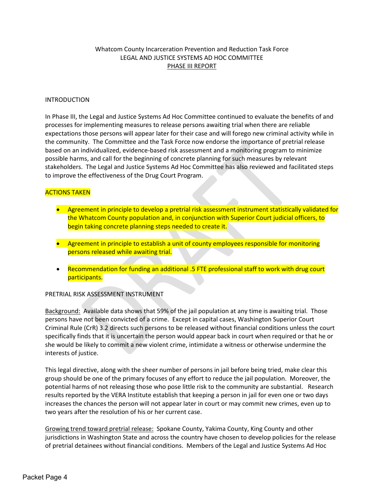## Whatcom County Incarceration Prevention and Reduction Task Force LEGAL AND JUSTICE SYSTEMS AD HOC COMMITTEE PHASE III REPORT

## INTRODUCTION

In Phase III, the Legal and Justice Systems Ad Hoc Committee continued to evaluate the benefits of and processes for implementing measures to release persons awaiting trial when there are reliable expectations those persons will appear later for their case and will forego new criminal activity while in the community. The Committee and the Task Force now endorse the importance of pretrial release based on an individualized, evidence-based risk assessment and a monitoring program to minimize possible harms, and call for the beginning of concrete planning for such measures by relevant stakeholders. The Legal and Justice Systems Ad Hoc Committee has also reviewed and facilitated steps to improve the effectiveness of the Drug Court Program.

## ACTIONS TAKEN

- Agreement in principle to develop a pretrial risk assessment instrument statistically validated for the Whatcom County population and, in conjunction with Superior Court judicial officers, to begin taking concrete planning steps needed to create it.
- Agreement in principle to establish a unit of county employees responsible for monitoring persons released while awaiting trial.
- Recommendation for funding an additional .5 FTE professional staff to work with drug court participants.

## PRETRIAL RISK ASSESSMENT INSTRUMENT

Background: Available data shows that 59% of the jail population at any time is awaiting trial. Those persons have not been convicted of a crime. Except in capital cases, Washington Superior Court Criminal Rule (CrR) 3.2 directs such persons to be released without financial conditions unless the court specifically finds that it is uncertain the person would appear back in court when required or that he or she would be likely to commit a new violent crime, intimidate a witness or otherwise undermine the interests of justice.

This legal directive, along with the sheer number of persons in jail before being tried, make clear this group should be one of the primary focuses of any effort to reduce the jail population. Moreover, the potential harms of not releasing those who pose little risk to the community are substantial. Research results reported by the VERA Institute establish that keeping a person in jail for even one or two days increases the chances the person will not appear later in court or may commit new crimes, even up to two years after the resolution of his or her current case.

Growing trend toward pretrial release: Spokane County, Yakima County, King County and other jurisdictions in Washington State and across the country have chosen to develop policies for the release of pretrial detainees without financial conditions. Members of the Legal and Justice Systems Ad Hoc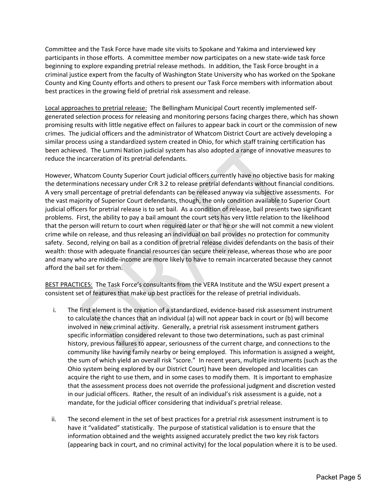Committee and the Task Force have made site visits to Spokane and Yakima and interviewed key participants in those efforts. A committee member now participates on a new state-wide task force beginning to explore expanding pretrial release methods. In addition, the Task Force brought in a criminal justice expert from the faculty of Washington State University who has worked on the Spokane County and King County efforts and others to present our Task Force members with information about best practices in the growing field of pretrial risk assessment and release.

Local approaches to pretrial release: The Bellingham Municipal Court recently implemented selfgenerated selection process for releasing and monitoring persons facing charges there, which has shown promising results with little negative effect on failures to appear back in court or the commission of new crimes. The judicial officers and the administrator of Whatcom District Court are actively developing a similar process using a standardized system created in Ohio, for which staff training certification has been achieved. The Lummi Nation judicial system has also adopted a range of innovative measures to reduce the incarceration of its pretrial defendants.

However, Whatcom County Superior Court judicial officers currently have no objective basis for making the determinations necessary under CrR 3.2 to release pretrial defendants without financial conditions. A very small percentage of pretrial defendants can be released anyway via subjective assessments. For the vast majority of Superior Court defendants, though, the only condition available to Superior Court judicial officers for pretrial release is to set bail. As a condition of release, bail presents two significant problems. First, the ability to pay a bail amount the court sets has very little relation to the likelihood that the person will return to court when required later or that he or she will not commit a new violent crime while on release, and thus releasing an individual on bail provides no protection for community safety. Second, relying on bail as a condition of pretrial release divides defendants on the basis of their wealth: those with adequate financial resources can secure their release, whereas those who are poor and many who are middle-income are more likely to have to remain incarcerated because they cannot afford the bail set for them.

BEST PRACTICES: The Task Force's consultants from the VERA Institute and the WSU expert present a consistent set of features that make up best practices for the release of pretrial individuals.

- i. The first element is the creation of a standardized, evidence-based risk assessment instrument to calculate the chances that an individual (a) will not appear back in court or (b) will become involved in new criminal activity. Generally, a pretrial risk assessment instrument gathers specific information considered relevant to those two determinations, such as past criminal history, previous failures to appear, seriousness of the current charge, and connections to the community like having family nearby or being employed. This information is assigned a weight, the sum of which yield an overall risk "score." In recent years, multiple instruments (such as the Ohio system being explored by our District Court) have been developed and localities can acquire the right to use them, and in some cases to modify them. It is important to emphasize that the assessment process does not override the professional judgment and discretion vested in our judicial officers. Rather, the result of an individual's risk assessment is a guide, not a mandate, for the judicial officer considering that individual's pretrial release.
- ii. The second element in the set of best practices for a pretrial risk assessment instrument is to have it "validated" statistically. The purpose of statistical validation is to ensure that the information obtained and the weights assigned accurately predict the two key risk factors (appearing back in court, and no criminal activity) for the local population where it is to be used.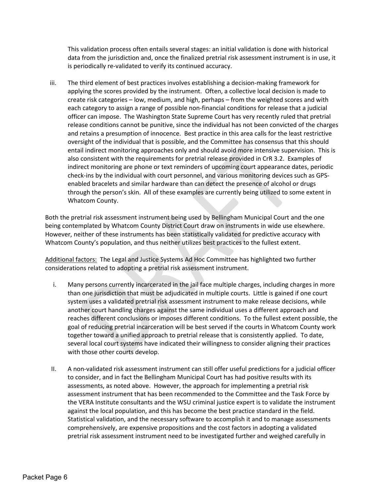This validation process often entails several stages: an initial validation is done with historical data from the jurisdiction and, once the finalized pretrial risk assessment instrument is in use, it is periodically re-validated to verify its continued accuracy.

iii. The third element of best practices involves establishing a decision-making framework for applying the scores provided by the instrument. Often, a collective local decision is made to create risk categories – low, medium, and high, perhaps – from the weighted scores and with each category to assign a range of possible non-financial conditions for release that a judicial officer can impose. The Washington State Supreme Court has very recently ruled that pretrial release conditions cannot be punitive, since the individual has not been convicted of the charges and retains a presumption of innocence. Best practice in this area calls for the least restrictive oversight of the individual that is possible, and the Committee has consensus that this should entail indirect monitoring approaches only and should avoid more intensive supervision. This is also consistent with the requirements for pretrial release provided in CrR 3.2. Examples of indirect monitoring are phone or text reminders of upcoming court appearance dates, periodic check-ins by the individual with court personnel, and various monitoring devices such as GPSenabled bracelets and similar hardware than can detect the presence of alcohol or drugs through the person's skin. All of these examples are currently being utilized to some extent in Whatcom County.

Both the pretrial risk assessment instrument being used by Bellingham Municipal Court and the one being contemplated by Whatcom County District Court draw on instruments in wide use elsewhere. However, neither of these instruments has been statistically validated for predictive accuracy with Whatcom County's population, and thus neither utilizes best practices to the fullest extent.

Additional factors: The Legal and Justice Systems Ad Hoc Committee has highlighted two further considerations related to adopting a pretrial risk assessment instrument.

- i. Many persons currently incarcerated in the jail face multiple charges, including charges in more than one jurisdiction that must be adjudicated in multiple courts. Little is gained if one court system uses a validated pretrial risk assessment instrument to make release decisions, while another court handling charges against the same individual uses a different approach and reaches different conclusions or imposes different conditions. To the fullest extent possible, the goal of reducing pretrial incarceration will be best served if the courts in Whatcom County work together toward a unified approach to pretrial release that is consistently applied. To date, several local court systems have indicated their willingness to consider aligning their practices with those other courts develop.
- II. A non-validated risk assessment instrument can still offer useful predictions for a judicial officer to consider, and in fact the Bellingham Municipal Court has had positive results with its assessments, as noted above. However, the approach for implementing a pretrial risk assessment instrument that has been recommended to the Committee and the Task Force by the VERA Institute consultants and the WSU criminal justice expert is to validate the instrument against the local population, and this has become the best practice standard in the field. Statistical validation, and the necessary software to accomplish it and to manage assessments comprehensively, are expensive propositions and the cost factors in adopting a validated pretrial risk assessment instrument need to be investigated further and weighed carefully in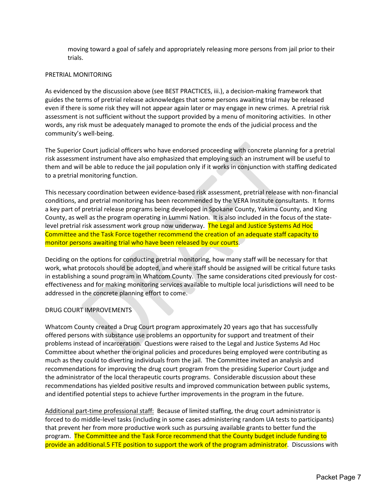moving toward a goal of safely and appropriately releasing more persons from jail prior to their trials.

## PRETRIAL MONITORING

As evidenced by the discussion above (see BEST PRACTICES, iii.), a decision-making framework that guides the terms of pretrial release acknowledges that some persons awaiting trial may be released even if there is some risk they will not appear again later or may engage in new crimes. A pretrial risk assessment is not sufficient without the support provided by a menu of monitoring activities. In other words, any risk must be adequately managed to promote the ends of the judicial process and the community's well-being.

The Superior Court judicial officers who have endorsed proceeding with concrete planning for a pretrial risk assessment instrument have also emphasized that employing such an instrument will be useful to them and will be able to reduce the jail population only if it works in conjunction with staffing dedicated to a pretrial monitoring function.

This necessary coordination between evidence-based risk assessment, pretrial release with non-financial conditions, and pretrial monitoring has been recommended by the VERA Institute consultants. It forms a key part of pretrial release programs being developed in Spokane County, Yakima County, and King County, as well as the program operating in Lummi Nation. It is also included in the focus of the statelevel pretrial risk assessment work group now underway. The Legal and Justice Systems Ad Hoc Committee and the Task Force together recommend the creation of an adequate staff capacity to monitor persons awaiting trial who have been released by our courts.

Deciding on the options for conducting pretrial monitoring, how many staff will be necessary for that work, what protocols should be adopted, and where staff should be assigned will be critical future tasks in establishing a sound program in Whatcom County. The same considerations cited previously for costeffectiveness and for making monitoring services available to multiple local jurisdictions will need to be addressed in the concrete planning effort to come.

## DRUG COURT IMPROVEMENTS

Whatcom County created a Drug Court program approximately 20 years ago that has successfully offered persons with substance use problems an opportunity for support and treatment of their problems instead of incarceration. Questions were raised to the Legal and Justice Systems Ad Hoc Committee about whether the original policies and procedures being employed were contributing as much as they could to diverting individuals from the jail. The Committee invited an analysis and recommendations for improving the drug court program from the presiding Superior Court judge and the administrator of the local therapeutic courts programs. Considerable discussion about these recommendations has yielded positive results and improved communication between public systems, and identified potential steps to achieve further improvements in the program in the future.

Additional part-time professional staff: Because of limited staffing, the drug court administrator is forced to do middle-level tasks (including in some cases administering random UA tests to participants) that prevent her from more productive work such as pursuing available grants to better fund the program. The Committee and the Task Force recommend that the County budget include funding to provide an additional.5 FTE position to support the work of the program administrator. Discussions with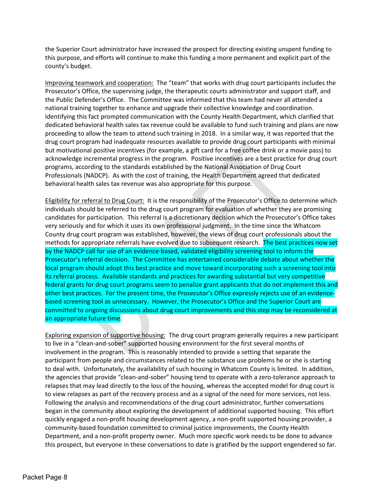the Superior Court administrator have increased the prospect for directing existing unspent funding to this purpose, and efforts will continue to make this funding a more permanent and explicit part of the county's budget.

Improving teamwork and cooperation: The "team" that works with drug court participants includes the Prosecutor's Office, the supervising judge, the therapeutic courts administrator and support staff, and the Public Defender's Office. The Committee was informed that this team had never all attended a national training together to enhance and upgrade their collective knowledge and coordination. Identifying this fact prompted communication with the County Health Department, which clarified that dedicated behavioral health sales tax revenue could be available to fund such training and plans are now proceeding to allow the team to attend such training in 2018. In a similar way, it was reported that the drug court program had inadequate resources available to provide drug court participants with minimal but motivational positive incentives (for example, a gift card for a free coffee drink or a movie pass) to acknowledge incremental progress in the program. Positive incentives are a best practice for drug court programs, according to the standards established by the National Association of Drug Court Professionals (NADCP). As with the cost of training, the Health Department agreed that dedicated behavioral health sales tax revenue was also appropriate for this purpose.

Eligibility for referral to Drug Court: It is the responsibility of the Prosecutor's Office to determine which individuals should be referred to the drug court program for evaluation of whether they are promising candidates for participation. This referral is a discretionary decision which the Prosecutor's Office takes very seriously and for which it uses its own professional judgment. In the time since the Whatcom County drug court program was established, however, the views of drug court professionals about the methods for appropriate referrals have evolved due to subsequent research. The best practices now set by the NADCP call for use of an evidence-based, validated eligibility screening tool to inform the Prosecutor's referral decision. The Committee has entertained considerable debate about whether the local program should adopt this best practice and move toward incorporating such a screening tool into its referral process. Available standards and practices for awarding substantial but very competitive federal grants for drug court programs seem to penalize grant applicants that do not implement this and other best practices. For the present time, the Prosecutor's Office expressly rejects use of an evidencebased screening tool as unnecessary. However, the Prosecutor's Office and the Superior Court are committed to ongoing discussions about drug court improvements and this step may be reconsidered at an appropriate future time.

Exploring expansion of supportive housing: The drug court program generally requires a new participant to live in a "clean-and-sober" supported housing environment for the first several months of involvement in the program. This is reasonably intended to provide a setting that separate the participant from people and circumstances related to the substance use problems he or she is starting to deal with. Unfortunately, the availability of such housing in Whatcom County is limited. In addition, the agencies that provide "clean-and-sober" housing tend to operate with a zero-tolerance approach to relapses that may lead directly to the loss of the housing, whereas the accepted model for drug court is to view relapses as part of the recovery process and as a signal of the need for more services, not less. Following the analysis and recommendations of the drug court administrator, further conversations began in the community about exploring the development of additional supported housing. This effort quickly engaged a non-profit housing development agency, a non-profit supported housing provider, a community-based foundation committed to criminal justice improvements, the County Health Department, and a non-profit property owner. Much more specific work needs to be done to advance this prospect, but everyone in these conversations to date is gratified by the support engendered so far.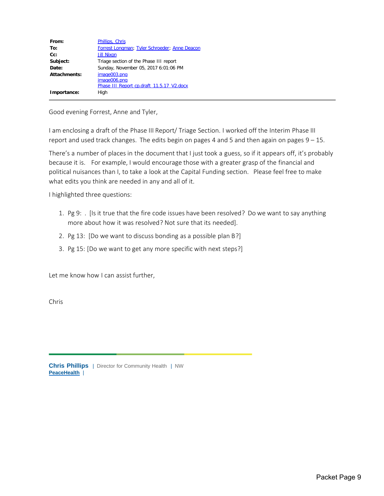| From:        | Phillips, Chris                               |
|--------------|-----------------------------------------------|
| To:          | Forrest Longman; Tyler Schroeder; Anne Deacon |
| $Cc$ :       | <b>Jill Nixon</b>                             |
| Subject:     | Triage section of the Phase III report        |
| Date:        | Sunday, November 05, 2017 6:01:06 PM          |
| Attachments: | image003.png                                  |
|              | image006.png                                  |
|              | Phase III Report cp.draft 11.5.17 V2.docx     |
| Importance:  | High                                          |

Good evening Forrest, Anne and Tyler,

I am enclosing a draft of the Phase III Report/ Triage Section. I worked off the Interim Phase III report and used track changes. The edits begin on pages 4 and 5 and then again on pages 9 – 15.

There's a number of places in the document that I just took a guess, so if it appears off, it's probably because it is. For example, I would encourage those with a greater grasp of the financial and political nuisances than I, to take a look at the Capital Funding section. Please feel free to make what edits you think are needed in any and all of it.

I highlighted three questions:

- 1. Pg 9: . [Is it true that the fire code issues have been resolved? Do we want to say anything more about how it was resolved? Not sure that its needed].
- 2. Pg 13: [Do we want to discuss bonding as a possible plan B?]
- 3. Pg 15: [Do we want to get any more specific with next steps?]

Let me know how I can assist further,

Chris

**Chris Phillips** | Director for Community Health | NW<br>PeaceHealth |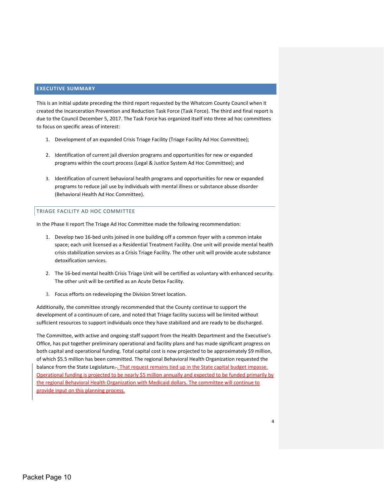## **EXECUTIVE SUMMARY**

This is an initial update preceding the third report requested by the Whatcom County Council when it created the Incarceration Prevention and Reduction Task Force (Task Force). The third and final report is due to the Council December 5, 2017. The Task Force has organized itself into three ad hoc committees to focus on specific areas of interest:

- 1. Development of an expanded Crisis Triage Facility (Triage Facility Ad Hoc Committee);
- 2. Identification of current jail diversion programs and opportunities for new or expanded programs within the court process (Legal & Justice System Ad Hoc Committee); and
- 3. Identification of current behavioral health programs and opportunities for new or expanded programs to reduce jail use by individuals with mental illness or substance abuse disorder (Behavioral Health Ad Hoc Committee).

#### TRIAGE FACILITY AD HOC COMMITTEE

In the Phase II report The Triage Ad Hoc Committee made the following recommendation:

- 1. Develop two 16-bed units joined in one building off a common foyer with a common intake space; each unit licensed as a Residential Treatment Facility. One unit will provide mental health crisis stabilization services as a Crisis Triage Facility. The other unit will provide acute substance detoxification services.
- 2. The 16-bed mental health Crisis Triage Unit will be certified as voluntary with enhanced security. The other unit will be certified as an Acute Detox Facility.
- 3. Focus efforts on redeveloping the Division Street location.

Additionally, the committee strongly recommended that the County continue to support the development of a continuum of care, and noted that Triage facility success will be limited without sufficient resources to support individuals once they have stabilized and are ready to be discharged.

The Committee, with active and ongoing staff support from the Health Department and the Executive's Office, has put together preliminary operational and facility plans and has made significant progress on both capital and operational funding. Total capital cost is now projected to be approximately \$9 million, of which \$5.5 million has been committed. The regional Behavioral Health Organization requested the balance from the State Legislature $\tau$ . That request remains tied up in the State capital budget impasse. Operational funding is projected to be nearly \$5 million annually and expected to be funded primarily by the regional Behavioral Health Organization with Medicaid dollars. The committee will continue to provide input on this planning process.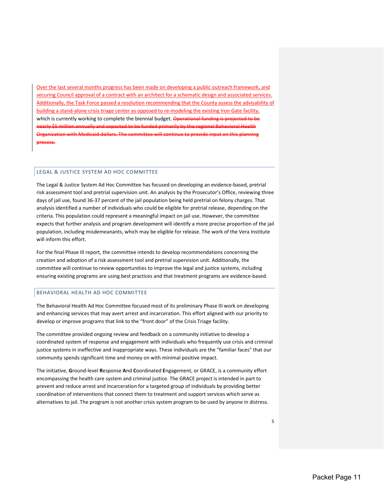Over the last several months progress has been made on developing a public outreach framework, and securing Council approval of a contract with an architect for a schematic design and associated services. Additionally, the Task Force passed a resolution recommending that the County assess the advisability of building a stand-alone crisis triage center as opposed to re-modeling the existing Iron Gate facility. which is currently working to complete the biennial budget. Operational funding is project nearly \$5 million annually and expected to be funded primarily by the regional Behavioral Health Organization with Medicaid dollars. The committee will continue to provide input on this planning process.

### LEGAL & JUSTICE SYSTEM AD HOC COMMITTEE

The Legal & Justice System Ad Hoc Committee has focused on developing an evidence-based, pretrial risk assessment tool and pretrial supervision unit. An analysis by the Prosecutor's Office, reviewing three days of jail use, found 36-37 percent of the jail population being held pretrial on felony charges. That analysis identified a number of individuals who could be eligible for pretrial release, depending on the criteria. This population could represent a meaningful impact on jail use. However, the committee expects that further analysis and program development will identify a more precise proportion of the jail population, including misdemeanants, which may be eligible for release. The work of the Vera Institute will inform this effort.

For the final Phase III report, the committee intends to develop recommendations concerning the creation and adoption of a risk assessment tool and pretrial supervision unit. Additionally, the committee will continue to review opportunities to improve the legal and justice systems, including ensuring existing programs are using best practices and that treatment programs are evidence-based.

### BEHAVIORAL HEALTH AD HOC COMMITTEE

The Behavioral Health Ad Hoc Committee focused most of its preliminary Phase III work on developing and enhancing services that may avert arrest and incarceration. This effort aligned with our priority to develop or improve programs that link to the "front door" of the Crisis Triage facility.

The committee provided ongoing review and feedback on a community initiative to develop a coordinated system of response and engagement with individuals who frequently use crisis and criminal justice systems in ineffective and inappropriate ways. These individuals are the "familiar faces" that our community spends significant time and money on with minimal positive impact.

The initiative, **G**round-level **R**esponse **A**nd **C**oordinated **E**ngagement, or GRACE, is a community effort encompassing the health care system and criminal justice. The GRACE project is intended in part to prevent and reduce arrest and incarceration for a targeted group of individuals by providing better coordination of interventions that connect them to treatment and support services which serve as alternatives to jail. The program is not another crisis system program to be used by anyone in distress.

5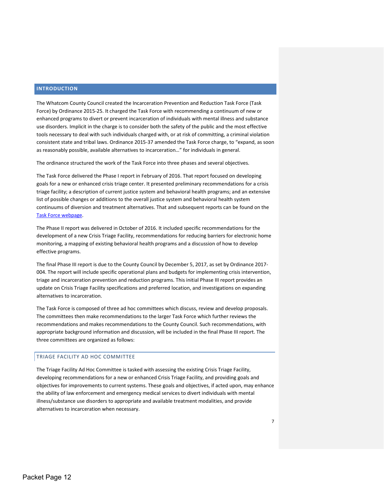### **INTRODUCTION**

The Whatcom County Council created the Incarceration Prevention and Reduction Task Force (Task Force) by Ordinance 2015-25. It charged the Task Force with recommending a continuum of new or enhanced programs to divert or prevent incarceration of individuals with mental illness and substance use disorders. Implicit in the charge is to consider both the safety of the public and the most effective tools necessary to deal with such individuals charged with, or at risk of committing, a criminal violation consistent state and tribal laws. Ordinance 2015-37 amended the Task Force charge, to "expand, as soon as reasonably possible, available alternatives to incarceration…" for individuals in general.

The ordinance structured the work of the Task Force into three phases and several objectives.

The Task Force delivered the Phase I report in February of 2016. That report focused on developing goals for a new or enhanced crisis triage center. It presented preliminary recommendations for a crisis triage facility; a description of current justice system and behavioral health programs; and an extensive list of possible changes or additions to the overall justice system and behavioral health system continuums of diversion and treatment alternatives. That and subsequent reports can be found on the [Task Force webpage.](http://www.whatcomcounty.us/2052/Incarceration-Prevention-and-Reduction-T)

The Phase II report was delivered in October of 2016. It included specific recommendations for the development of a new Crisis Triage Facility, recommendations for reducing barriers for electronic home monitoring, a mapping of existing behavioral health programs and a discussion of how to develop effective programs.

The final Phase III report is due to the County Council by December 5, 2017, as set by Ordinance 2017- 004. The report will include specific operational plans and budgets for implementing crisis intervention, triage and incarceration prevention and reduction programs. This initial Phase III report provides an update on Crisis Triage Facility specifications and preferred location, and investigations on expanding alternatives to incarceration.

The Task Force is composed of three ad hoc committees which discuss, review and develop proposals. The committees then make recommendations to the larger Task Force which further reviews the recommendations and makes recommendations to the County Council. Such recommendations, with appropriate background information and discussion, will be included in the final Phase III report. The three committees are organized as follows:

#### TRIAGE FACILITY AD HOC COMMITTEE

The Triage Facility Ad Hoc Committee is tasked with assessing the existing Crisis Triage Facility, developing recommendations for a new or enhanced Crisis Triage Facility, and providing goals and objectives for improvements to current systems. These goals and objectives, if acted upon, may enhance the ability of law enforcement and emergency medical services to divert individuals with mental illness/substance use disorders to appropriate and available treatment modalities, and provide alternatives to incarceration when necessary.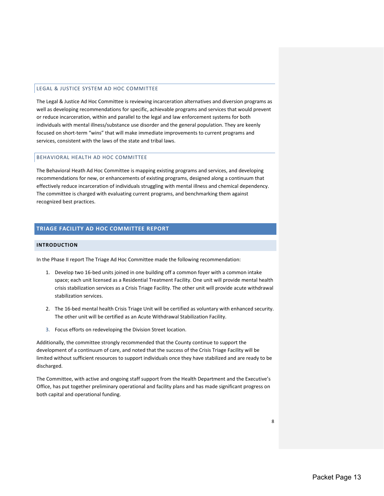## LEGAL & JUSTICE SYSTEM AD HOC COMMITTEE

The Legal & Justice Ad Hoc Committee is reviewing incarceration alternatives and diversion programs as well as developing recommendations for specific, achievable programs and services that would prevent or reduce incarceration, within and parallel to the legal and law enforcement systems for both individuals with mental illness/substance use disorder and the general population. They are keenly focused on short-term "wins" that will make immediate improvements to current programs and services, consistent with the laws of the state and tribal laws.

## BEHAVIORAL HEALTH AD HOC COMMITTEE

The Behavioral Heath Ad Hoc Committee is mapping existing programs and services, and developing recommendations for new, or enhancements of existing programs, designed along a continuum that effectively reduce incarceration of individuals struggling with mental illness and chemical dependency. The committee is charged with evaluating current programs, and benchmarking them against recognized best practices.

## **TRIAGE FACILITY AD HOC COMMITTEE REPORT**

## **INTRODUCTION**

In the Phase II report The Triage Ad Hoc Committee made the following recommendation:

- 1. Develop two 16-bed units joined in one building off a common foyer with a common intake space; each unit licensed as a Residential Treatment Facility. One unit will provide mental health crisis stabilization services as a Crisis Triage Facility. The other unit will provide acute withdrawal stabilization services.
- 2. The 16-bed mental health Crisis Triage Unit will be certified as voluntary with enhanced security. The other unit will be certified as an Acute Withdrawal Stabilization Facility.
- 3. Focus efforts on redeveloping the Division Street location.

Additionally, the committee strongly recommended that the County continue to support the development of a continuum of care, and noted that the success of the Crisis Triage Facility will be limited without sufficient resources to support individuals once they have stabilized and are ready to be discharged.

The Committee, with active and ongoing staff support from the Health Department and the Executive's Office, has put together preliminary operational and facility plans and has made significant progress on both capital and operational funding.

8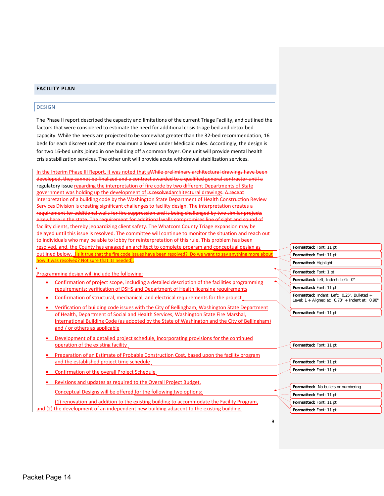### **FACILITY PLAN**

#### DESIGN

The Phase II report described the capacity and limitations of the current Triage Facility, and outlined the factors that were considered to estimate the need for additional crisis triage bed and detox bed capacity. While the needs are projected to be somewhat greater than the 32-bed recommendation, 16 beds for each discreet unit are the maximum allowed under Medicaid rules. Accordingly, the design is for two 16-bed units joined in one building off a common foyer. One unit will provide mental health crisis stabilization services. The other unit will provide acute withdrawal stabilization services.

In the Interim Phase III Report, it was noted that aWhile preliminary architectural drawings have been developed, they cannot be finalized and a contract awarded to a qualified general contractor until a regulatory issue regarding the interpretation of fire code by two different Departments of State government was holding up the development of is resolvedarchitectural drawings. A recent interpretation of a building code by the Washington State Department of Health Construction Review Services Division is creating significant challenges to facility design. The interpretation creates a requirement for additional walls for fire suppression and is being challenged by two similar projects elsewhere in the state. The requirement for additional walls compromises line of sight and sound of facility clients, thereby jeopardizing client safety. The Whatcom County Triage expansion may be delayed until this issue is resolved. The committee will continue to monitor the situation and reach out to individuals who may be able to lobby for reinterpretation of this rule. This problem has been resolved, and, the County has engaged an architect to complete program and conceptual design as outlined below. [Is it true that the fire code issues have been resolved? Do we want to say anything more about how it was resolved? Not sure that its needed].

Programming design will include the following:

- Confirmation of project scope, including a detailed description of the facilities programming requirements; verification of DSHS and Department of Health licensing requirements
- Confirmation of structural, mechanical, and electrical requirements for the project
- Verification of building code issues with the City of Bellingham, Washington State Department of Health, Department of Social and Health Services, Washington State Fire Marshal, International Building Code (as adopted by the State of Washington and the City of Bellingham) and / or others as applicable
- Development of a detailed project schedule, incorporating provisions for the continued operation of the existing facility
- Preparation of an Estimate of Probable Construction Cost, based upon the facility program and the established project time schedule,
- Confirmation of the overall Project Schedule
- Revisions and updates as required to the Overall Project Budget.

Conceptual Designs will be offered for the following two options:

(1) renovation and addition to the existing building to accommodate the Facility Program, and (2) the development of an independent new building adjacent to the existing building,

**Formatted:** Font: 11 pt **Formatted:** Font: 11 pt **Formatted:** Highlight **Formatted:** Font: 1 pt **Formatted:** Left, Indent: Left: 0" **Formatted:** Font: 11 pt **Formatted:** Indent: Left: 0.25", Bulleted + Level: 1 + Aligned at: 0.73" + Indent at: 0.98" **Formatted:** Font: 11 pt

| Formatted: Font: 11 pt             |
|------------------------------------|
|                                    |
| Formatted: Font: 11 pt             |
| Formatted: Font: 11 pt             |
|                                    |
| Formatted: No bullets or numbering |
| <b>Formatted:</b> Font: 11 pt      |

**Formatted:** Font: 11 pt **Formatted:** Font: 11 pt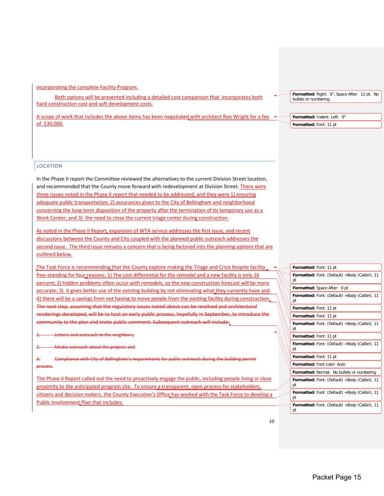incorporating the complete Facility Program.

Both options will be presented including a detailed cost comparison that incorporates both hard construction cost and soft development costs.

A scope of work that includes the above items has been negotiated with architect Ron Wright for a fee of \$30,000.

**Formatted:** Right: 0", Space After: 12 pt, No bullets or numbering

**Formatted:** Indent: Left: 0" **Formatted:** Font: 11 pt

## **LOCATION**

In the Phase II report the Committee reviewed the alternatives to the current Division Street location, and recommended that the County move forward with redevelopment at Division Street. There were three issues noted in the Phase II report that needed to be addressed, and they were 1) ensuring adequate public transportation; 2) assurances given to the City of Bellingham and neighborhood concerning the long-term disposition of the property after the termination of its temporary use as a Work Center; and 3) the need to close the current triage center during construction.

As noted in the Phase II Report, expansion of WTA service addresses the first issue, and recent discussions between the County and City coupled with the planned public outreach addresses the second issue. The third issue remains a concern that is being factored into the planning options that are outlined below.

The Task Force is recommending that the County explore making the Triage and Crisis Respite facility free-standing for four reasons: 1) The cost differential for the remodel and a new facility is only 16 percent; 2) hidden problems often occur with remodels, so the new construction forecast will be more accurate; 3) it gives better use of the existing building by not eliminating what they currently have and 4) there will be a savings from not having to move people from the existing facility during construction. The next step, assuming that the regulatory issues noted above can be resolved and architectural loped, will be to host an early public process, hopefully in Sep nunity to the plan and invite public comment. Subsequent outreach will include:

1. Letters and outreach to the neighbors;

2. Media outreach about the project; and

3. Compliance with City of Bellingham's requirements for public outreach during the building permit process.

The Phase II Report called out the need to proactively engage the public, including people living in close proximity to the anticipated program site. To ensure a transparent, open process for stakeholders, citizens and decision makers, the County Executive's Office has worked with the Task Force to develop a Public Involvement Plan that includes:

| Formatted: Font: 11 pt                                      |  |  |  |  |  |
|-------------------------------------------------------------|--|--|--|--|--|
| <b>Formatted:</b> Font: (Default) +Body (Calibri), 11<br>pt |  |  |  |  |  |
| Formatted: Space After: 0 pt                                |  |  |  |  |  |
| <b>Formatted:</b> Font: (Default) +Body (Calibri), 11<br>рt |  |  |  |  |  |
| Formatted: Font: 11 pt                                      |  |  |  |  |  |
| Formatted: Font: 11 pt                                      |  |  |  |  |  |
| <b>Formatted:</b> Font: (Default) +Body (Calibri), 11<br>pt |  |  |  |  |  |
| Formatted: Font: 11 pt                                      |  |  |  |  |  |
| <b>Formatted:</b> Font: (Default) +Body (Calibri), 11<br>pt |  |  |  |  |  |
| Formatted: Font: 11 pt                                      |  |  |  |  |  |
| Formatted: Font color: Auto                                 |  |  |  |  |  |
| Formatted: Normal, No bullets or numbering                  |  |  |  |  |  |
| Formatted: Font: (Default) +Body (Calibri), 11<br>pt        |  |  |  |  |  |
| <b>Formatted:</b> Font: (Default) +Body (Calibri), 11<br>рt |  |  |  |  |  |
| <b>Formatted:</b> Font: (Default) +Body (Calibri), 11<br>pt |  |  |  |  |  |
|                                                             |  |  |  |  |  |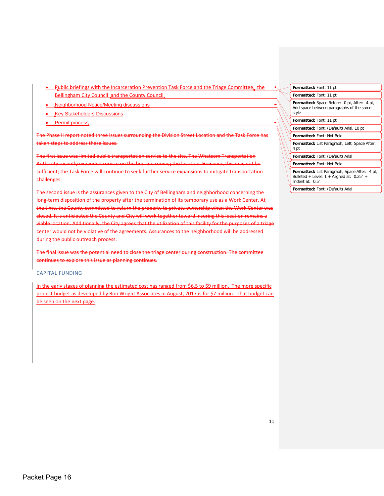- Public briefings with the Incarceration Prevention Task Force and the Triage Committee, the Bellingham City Council and the County Council
- Neighborhood Notice/Meeting discussions
- **Key Stakeholders Discussions**
- Permit process

The Phase II report noted three issues surrounding the Division Street Location and the Task Force has taken steps to address these issues.

The first issue was limited public transportation service to the site. The Whatcom Transport Authority recently expanded service on the bus line serving the location. However, this may not be sufficient; the Task Force will continue to seek further service expansions to mitigate transportation challenges.

The second issue is the assurances given to the City of Bellingham and neighborhood concerning the long-term disposition of the property after the termination of its temporary use as a Work Center. At the time, the County committed to return the property to private ownership when the Work Center was closed. It is anticipated the County and City will work together toward insuring this location remains a viable location. Additionally, the City agrees that the utilization of this facility for the purposes of a triage cer would not be violative of the agreements. Assurances to the neighborhood will be addressed during the public outreach process.

The final issue was the potential need to close the triage center during construction. The continues to explore this issue as planning continues.

#### CAPITAL FUNDING

In the early stages of planning the estimated cost has ranged from \$6.5 to \$9 million. The more specific project budget as developed by Ron Wright Associates in August, 2017 is for \$7 million. That budget can be seen on the next page.

| Formatted: Font: 11 pt                                                                                            |
|-------------------------------------------------------------------------------------------------------------------|
| Formatted: Font: 11 pt                                                                                            |
| <b>Formatted:</b> Space Before: 0 pt, After: 4 pt,<br>Add space between paragraphs of the same<br>style           |
| Formatted: Font: 11 pt                                                                                            |
| Formatted: Font: (Default) Arial, 10 pt                                                                           |
| Formatted: Font: Not Bold                                                                                         |
| Formatted: List Paragraph, Left, Space After:<br>4 pt                                                             |
| Formatted: Font: (Default) Arial                                                                                  |
| <b>Formatted: Font: Not Bold</b>                                                                                  |
| Formatted: List Paragraph, Space After: 4 pt,<br>Bulleted + Level: $1 +$ Aligned at: $0.25"$ +<br>Indent at: 0.5" |

**Formatted:** Font: (Default) Arial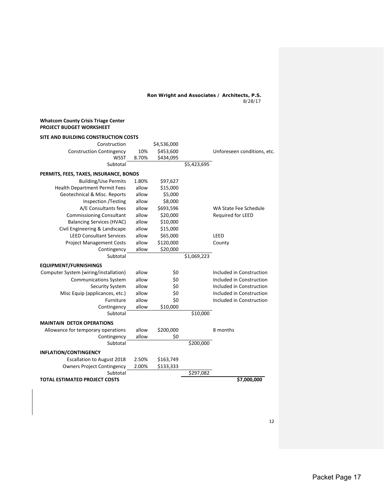**Ron Wright and Associates / Architects, P.S.** 8/28/17

#### **Whatcom County Crisis Triage Center PROJECT BUDGET WORKSHEET**

| SITE AND BUILDING CONSTRUCTION COSTS   |       |             |             |                             |
|----------------------------------------|-------|-------------|-------------|-----------------------------|
| Construction                           |       | \$4,536,000 |             |                             |
| <b>Construction Contingency</b>        | 10%   | \$453,600   |             | Unforeseen conditions, etc. |
| <b>WSST</b>                            | 8.70% | \$434,095   |             |                             |
| Subtotal                               |       |             | \$5,423,695 |                             |
| PERMITS, FEES, TAXES, INSURANCE, BONDS |       |             |             |                             |
| <b>Building/Use Permits</b>            | 1.80% | \$97,627    |             |                             |
| <b>Health Department Permit Fees</b>   | allow | \$15,000    |             |                             |
| Geotechnical & Misc. Reports           | allow | \$5,000     |             |                             |
| Inspection /Testing                    | allow | \$8,000     |             |                             |
| A/E Consultants fees                   | allow | \$693,596   |             | WA State Fee Schedule       |
| <b>Commissioning Consultant</b>        | allow | \$20,000    |             | Required for LEED           |
| <b>Balancing Services (HVAC)</b>       | allow | \$10,000    |             |                             |
| Civil Engineering & Landscape          | allow | \$15,000    |             |                             |
| <b>LEED Consultant Services</b>        | allow | \$65,000    |             | LEED                        |
| <b>Project Management Costs</b>        | allow | \$120,000   |             | County                      |
| Contingency                            | allow | \$20,000    |             |                             |
| Subtotal                               |       |             | \$1,069,223 |                             |
| <b>EQUIPMENT/FURNISHINGS</b>           |       |             |             |                             |
| Computer System (wiring/installation)  | allow | \$0         |             | Included in Construction    |
| <b>Communications System</b>           | allow | \$0         |             | Included in Construction    |
| Security System                        | allow | \$0         |             | Included in Construction    |
| Misc Equip (applicances, etc.)         | allow | \$0         |             | Included in Construction    |
| Furniture                              | allow | \$0         |             | Included in Construction    |
| Contingency                            | allow | \$10,000    |             |                             |
| Subtotal                               |       |             | \$10,000    |                             |
| <b>MAINTAIN DETOX OPERATIONS</b>       |       |             |             |                             |
| Allowance for temporary operations     | allow | \$200,000   |             | 8 months                    |
| Contingency                            | allow | \$0         |             |                             |
| Subtotal                               |       |             | \$200,000   |                             |
| <b>INFLATION/CONTINGENCY</b>           |       |             |             |                             |
| <b>Escallation to August 2018</b>      | 2.50% | \$163,749   |             |                             |
| <b>Owners Project Contingency</b>      | 2.00% | \$133,333   |             |                             |
| Subtotal                               |       |             | \$297,082   |                             |
| <b>TOTAL ESTIMATED PROJECT COSTS</b>   |       |             |             | \$7,000,000                 |

12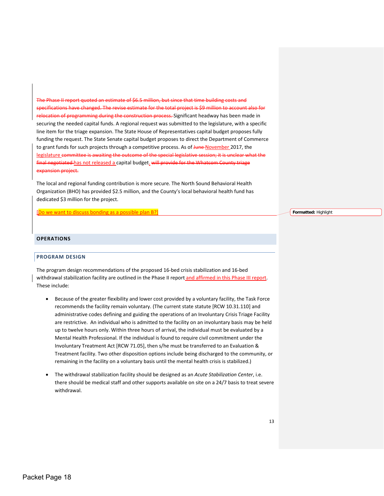$\frac{1}{2}$  report of  $\frac{1}{2}$   $\frac{1}{2}$  report in the since that time building costs and that time building cos ations have changed. The revise estimate for the total project is \$9 million to account also for relocation of programming during the construction process. Significant headway has been made in securing the needed capital funds. A regional request was submitted to the legislature, with a specific line item for the triage expansion. The State House of Representatives capital budget proposes fully funding the request. The State Senate capital budget proposes to direct the Department of Commerce to grant funds for such projects through a competitive process. As of June November 2017, the legislature committee is awaiting the outcome of the special legislative session; it is unclear what the final negotiated has not released a capital budget. will provide for the Whatcom County triage expansion project.

The local and regional funding contribution is more secure. The North Sound Behavioral Health Organization (BHO) has provided \$2.5 million, and the County's local behavioral health fund has dedicated \$3 million for the project.

[Do we want to discuss bonding as a possible plan B?]

**Formatted:** Highlight

## **OPERATIONS**

#### **PROGRAM DESIGN**

The program design recommendations of the proposed 16-bed crisis stabilization and 16-bed withdrawal stabilization facility are outlined in the Phase II report and affirmed in this Phase III report. These include:

- Because of the greater flexibility and lower cost provided by a voluntary facility, the Task Force recommends the facility remain voluntary. (The current state statute [RCW 10.31.110] and administrative codes defining and guiding the operations of an Involuntary Crisis Triage Facility are restrictive. An individual who is admitted to the facility on an involuntary basis may be held up to twelve hours only. Within three hours of arrival, the individual must be evaluated by a Mental Health Professional. If the individual is found to require civil commitment under the Involuntary Treatment Act [RCW 71.05], then s/he must be transferred to an Evaluation & Treatment facility. Two other disposition options include being discharged to the community, or remaining in the facility on a voluntary basis until the mental health crisis is stabilized.)
- The withdrawal stabilization facility should be designed as an *Acute Stabilization Center*, i.e. there should be medical staff and other supports available on site on a 24/7 basis to treat severe withdrawal.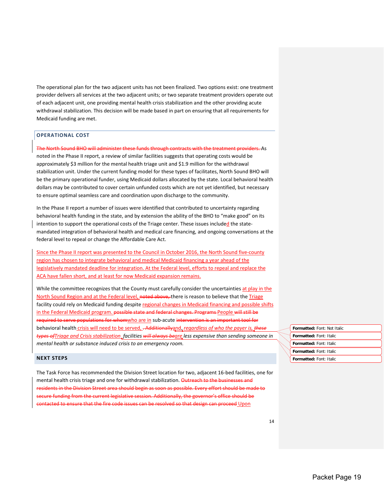The operational plan for the two adjacent units has not been finalized. Two options exist: one treatment provider delivers all services at the two adjacent units; or two separate treatment providers operate out of each adjacent unit, one providing mental health crisis stabilization and the other providing acute withdrawal stabilization. This decision will be made based in part on ensuring that all requirements for Medicaid funding are met.

#### **OPERATIONAL COST**

The North Sound BHO will administer these funds through contracts with the treatment providers. As noted in the Phase II report, a review of similar facilities suggests that operating costs would be approximately \$3 million for the mental health triage unit and \$1.9 million for the withdrawal stabilization unit. Under the current funding model for these types of facilitates, North Sound BHO will be the primary operational funder, using Medicaid dollars allocated by the state. Local behavioral health dollars may be contributed to cover certain unfunded costs which are not yet identified, but necessary to ensure optimal seamless care and coordination upon discharge to the community.

In the Phase II report a number of issues were identified that contributed to uncertainty regarding behavioral health funding in the state, and by extension the ability of the BHO to "make good" on its intention to support the operational costs of the Triage center. These issues included the statemandated integration of behavioral health and medical care financing, and ongoing conversations at the federal level to repeal or change the Affordable Care Act.

Since the Phase II report was presented to the Council in October 2016, the North Sound five-county region has chosen to integrate behavioral and medical Medicaid financing a year ahead of the legislatively mandated deadline for integration. At the Federal level, efforts to repeal and replace the ACA have fallen short, and at least for now Medicaid expansion remains.

While the committee recognizes that the County must carefully consider the uncertainties at play in the North Sound Region and at the Federal level, noted above, there is reason to believe that the Triage facility could rely on Medicaid funding despite regional changes in Medicaid financing and possible shifts in the Federal Medicaid program. possible state and federal changes. Programs People will still be required to serve populations for whomwho are in sub-acute intervention is an important tool for behavioral health crisis will need to be served, . Additionallyand, *regardless of who the payer is, these types ofTriage and Crisis stabilization facilities will always beare less expensive than sending someone in mental health or substance induced crisis to an emergency room.* 

#### **NEXT STEPS**

The Task Force has recommended the Division Street location for two, adjacent 16-bed facilities, one for mental health crisis triage and one for withdrawal stabilization. Outreach to the residents in the Division Street area should begin as soon as possible. Every effort should be made to secure funding from the current legislative session. Additionally, the governor's office should be ted to ensure that the fire code issues can be resolved so that design can proceed Upon

| Formatted: Font: Not Italic |
|-----------------------------|
| Formatted: Font: Italic     |
| Formatted: Font: Italic     |
| Formatted: Font: Italic     |
| Formatted: Font: Italic     |
|                             |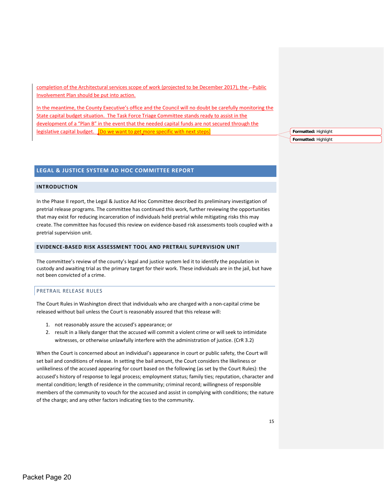completion of the Architectural services scope of work (projected to be December 2017), the -- Public Involvement Plan should be put into action.

In the meantime, the County Executive's office and the Council will no doubt be carefully monitoring the State capital budget situation. The Task Force Triage Committee stands ready to assist in the development of a "Plan B" in the event that the needed capital funds are not secured through the legislative capital budget. JDo we want to get more specific with next steps

**Formatted:** Highlight **Formatted:** Highlight

## **LEGAL & JUSTICE SYSTEM AD HOC COMMITTEE REPORT**

#### **INTRODUCTION**

In the Phase II report, the Legal & Justice Ad Hoc Committee described its preliminary investigation of pretrial release programs. The committee has continued this work, further reviewing the opportunities that may exist for reducing incarceration of individuals held pretrial while mitigating risks this may create. The committee has focused this review on evidence-based risk assessments tools coupled with a pretrial supervision unit.

### **EVIDENCE-BASED RISK ASSESSMENT TOOL AND PRETRAIL SUPERVISION UNIT**

The committee's review of the county's legal and justice system led it to identify the population in custody and awaiting trial as the primary target for their work. These individuals are in the jail, but have not been convicted of a crime.

#### PRETRAIL RELEASE RULES

The Court Rules in Washington direct that individuals who are charged with a non-capital crime be released without bail unless the Court is reasonably assured that this release will:

- 1. not reasonably assure the accused's appearance; or
- 2. result in a likely danger that the accused will commit a violent crime or will seek to intimidate witnesses, or otherwise unlawfully interfere with the administration of justice. (CrR 3.2)

When the Court is concerned about an individual's appearance in court or public safety, the Court will set bail and conditions of release. In setting the bail amount, the Court considers the likeliness or unlikeliness of the accused appearing for court based on the following (as set by the Court Rules): the accused's history of response to legal process; employment status; family ties; reputation, character and mental condition; length of residence in the community; criminal record; willingness of responsible members of the community to vouch for the accused and assist in complying with conditions; the nature of the charge; and any other factors indicating ties to the community.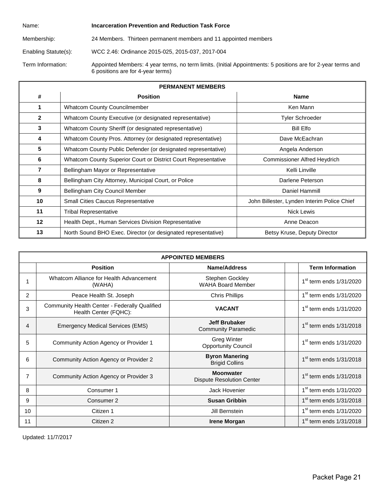| Name:                | Incarceration Prevention and Reduction Task Force                                                                                                 |
|----------------------|---------------------------------------------------------------------------------------------------------------------------------------------------|
| Membership:          | 24 Members. Thirteen permanent members and 11 appointed members                                                                                   |
| Enabling Statute(s): | WCC 2.46: Ordinance 2015-025, 2015-037, 2017-004                                                                                                  |
| Term Information:    | Appointed Members: 4 year terms, no term limits. (Initial Appointments: 5 positions are for 2-year terms and<br>6 positions are for 4-year terms) |

| <b>PERMANENT MEMBERS</b> |                                                                |                                             |  |  |
|--------------------------|----------------------------------------------------------------|---------------------------------------------|--|--|
| #                        | <b>Position</b>                                                | <b>Name</b>                                 |  |  |
| 1                        | Whatcom County Councilmember                                   | Ken Mann                                    |  |  |
| $\mathbf{2}$             | Whatcom County Executive (or designated representative)        | <b>Tyler Schroeder</b>                      |  |  |
| 3                        | Whatcom County Sheriff (or designated representative)          | <b>Bill Elfo</b>                            |  |  |
| 4                        | Whatcom County Pros. Attorney (or designated representative)   | Dave McEachran                              |  |  |
| 5                        | Whatcom County Public Defender (or designated representative)  | Angela Anderson                             |  |  |
| 6                        | Whatcom County Superior Court or District Court Representative | <b>Commissioner Alfred Heydrich</b>         |  |  |
| 7                        | Bellingham Mayor or Representative                             | Kelli Linville                              |  |  |
| 8                        | Bellingham City Attorney, Municipal Court, or Police           | Darlene Peterson                            |  |  |
| 9                        | Bellingham City Council Member                                 | Daniel Hammill                              |  |  |
| 10                       | <b>Small Cities Caucus Representative</b>                      | John Billester, Lynden Interim Police Chief |  |  |
| 11                       | <b>Tribal Representative</b>                                   | <b>Nick Lewis</b>                           |  |  |
| $12 \,$                  | Health Dept., Human Services Division Representative           | Anne Deacon                                 |  |  |
| 13                       | North Sound BHO Exec. Director (or designated representative)  | Betsy Kruse, Deputy Director                |  |  |

| <b>APPOINTED MEMBERS</b> |                                                                        |                                                      |                                     |  |
|--------------------------|------------------------------------------------------------------------|------------------------------------------------------|-------------------------------------|--|
|                          | <b>Position</b>                                                        | <b>Name/Address</b>                                  | <b>Term Information</b>             |  |
|                          | Whatcom Alliance for Health Advancement<br>(WAHA)                      | <b>Stephen Gockley</b><br><b>WAHA Board Member</b>   | $1st$ term ends $1/31/2020$         |  |
| $\overline{c}$           | Peace Health St. Joseph                                                | <b>Chris Phillips</b>                                | $1st$ term ends $1/31/2020$         |  |
| 3                        | Community Health Center - Federally Qualified<br>Health Center (FQHC): | <b>VACANT</b>                                        | 1 <sup>st</sup> term ends 1/31/2020 |  |
| 4                        | <b>Emergency Medical Services (EMS)</b>                                | <b>Jeff Brubaker</b><br><b>Community Paramedic</b>   | $1st$ term ends $1/31/2018$         |  |
| 5                        | Community Action Agency or Provider 1                                  | <b>Greg Winter</b><br><b>Opportunity Council</b>     | $1st$ term ends $1/31/2020$         |  |
| 6                        | Community Action Agency or Provider 2                                  | <b>Byron Manering</b><br><b>Brigid Collins</b>       | $1st$ term ends $1/31/2018$         |  |
| 7                        | Community Action Agency or Provider 3                                  | <b>Moonwater</b><br><b>Dispute Resolution Center</b> | $1st$ term ends $1/31/2018$         |  |
| 8                        | Consumer 1                                                             | Jack Hovenier                                        | $1st$ term ends $1/31/2020$         |  |
| 9                        | Consumer 2                                                             | <b>Susan Gribbin</b>                                 | $1st$ term ends $1/31/2018$         |  |
| 10                       | Citizen 1                                                              | Jill Bernstein                                       | $1st$ term ends $1/31/2020$         |  |
| 11                       | Citizen 2                                                              | <b>Irene Morgan</b>                                  | $1st$ term ends $1/31/2018$         |  |

Updated: 11/7/2017